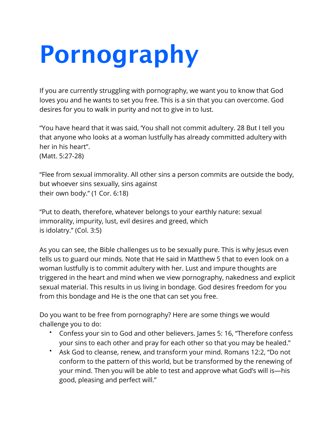## **Pornography**

If you are currently struggling with pornography, we want you to know that God loves you and he wants to set you free. This is a sin that you can overcome. God desires for you to walk in purity and not to give in to lust.

"You have heard that it was said, 'You shall not commit adultery. 28 But I tell you that anyone who looks at a woman lustfully has already committed adultery with her in his heart". (Matt. 5:27-28)

"Flee from sexual immorality. All other sins a person commits are outside the body, but whoever sins sexually, sins against their own body." (1 Cor. 6:18)

"Put to death, therefore, whatever belongs to your earthly nature: sexual immorality, impurity, lust, evil desires and greed, which is idolatry." (Col. 3:5)

As you can see, the Bible challenges us to be sexually pure. This is why Jesus even tells us to guard our minds. Note that He said in Matthew 5 that to even look on a woman lustfully is to commit adultery with her. Lust and impure thoughts are triggered in the heart and mind when we view pornography, nakedness and explicit sexual material. This results in us living in bondage. God desires freedom for you from this bondage and He is the one that can set you free.

Do you want to be free from pornography? Here are some things we would challenge you to do:

- Confess your sin to God and other believers. James 5: 16, "Therefore confess your sins to each other and pray for each other so that you may be healed."
- Ask God to cleanse, renew, and transform your mind. Romans 12:2, "Do not conform to the pattern of this world, but be transformed by the renewing of your mind. Then you will be able to test and approve what God's will is—his good, pleasing and perfect will."